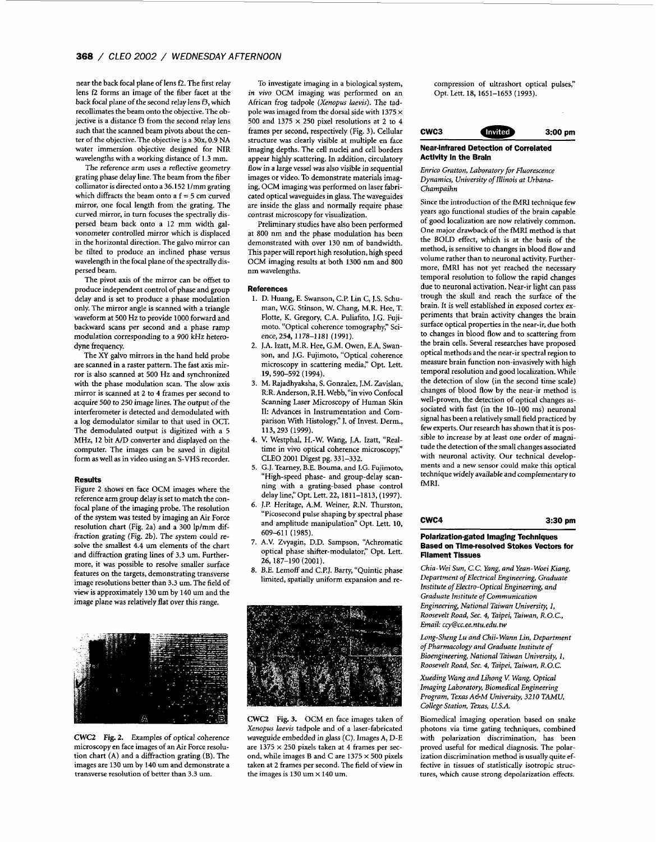near the back focal plane of lens **f2.** The first relay lens **f2** forms an image of the fiber facet at the back focal plane of the second relay lens f3, which recollimates the beam onto the objective. The objective is a distance **f3** from the second relay lens such that the scanned beam pivots about the center of the objective. The objective is a 30x, 0.9 NA water immersion objective designed for NIR wavelengths with a working distance of 1.3 mm.

The reference arm uses a reflective geometry grating phase delay line. The beam from the fiber collimator is directed onto a 36.152 1/mm grating which diffracts the beam onto a  $f = 5$  cm curved mirror, one focal length from the grating. The curved mirror, in turn focuses the spectrally dispersed beam back onto a 12 mm width galvonometer controlled mirror which is displaced in the horizontal direction. The galvo mirror can be tilted to produce an inclined phase versus wavelength in the focal plane of the spectrally dispersed beam.

The pivot **axis** of the mirror can be offset to produce independent control of phase and group delay and is set to produce a phase modulation only. The mirror angle is scanned with a triangle waveform at 500 Hz to provide 1000 forward and backward scans per second and a phase ramp modulation corresponding to a 900 kHz heterodyne frequency.

The *XY* galvo mirrors in the hand held probe are scanned in a raster pattern. The fast axis mir**ror** is also scanned at 500 Hz and synchronized with the phase modulation scan. The slow axis mirror is scanned at 2 to 4 frames per second to acquire 500 to 250 image lines. The output of the interferometer is detected and demodulated with a log demodulator similar to that used in OCT. The demodulated output is digitized with a 5 MHz, 12 bit A/D converter and displayed on the computer. The images can be saved in digital form as well as in video using an S-VHS recorder.

## **Results**

[Figure 2](#page-1-0) shows en face OCM images where the reference arm group delay is set to match the confocal plane of the imaging probe. The resolution of the system was tested by imaging an **Air** Force resolution chart (Fig. 2a) and a 300 lp/mm diffraction grating (Fig. 2b). The system could resolve the smallest 4.4 um elements of the chart and diffraction grating lines of 3.3 um. Furthermore, it was possible to resolve smaller surface features on the targets, demonstrating transverse image resolutions better than 3.3 um. The field of view is approximately 130 um by 140 um and the image plane was relatively flat over this range.



CWC2 *[Fig.](#page-1-0)* 2. Examples of optical coherence microscopy en face images **of** an **Air** Force resolution chart **(A)** and a diffraction grating (B). The images are 130 um by 140 um and demonstrate a transverse resolution of better than 3.3 um.

To investigate imaging in a biological system, *in vivo* OCM imaging was performed on an African frog tadpole *(Xenopus Iaevis).* The tadpole was imaged from the dorsal side with 1375 *x*  500 and  $1375 \times 250$  pixel resolutions at 2 to 4 frames per second, respectively (Fig. **3).** Cellular structure was clearly visible at multiple en face imaging depths. The cell nuclei and cell borders appear highly scattering. In addition, circulatory flow in a large vessel was also visible in sequential images **or** video. To demonstrate materials imaging, OCM imaging was performed on laser fabricated optical waveguides in glass. The waveguides are inside the glass and normally require phase contrast microscopy for visualization.

Preliminary studies have also been performed at 800 nm and the phase modulation has been demonstrated with over 130 nm of bandwidth. This paper will report high resolution, high speed OCM imaging results at both 1300 nm and 800 nm wavelengths.

## **References**

- 1. D. Huang, **E.** Swanson, C.P. Lin C, J.S. Schuman, W.G. Stinson, W. Chang, M.R. Hee, T. Flotte, K. Gregory, C.A. Puliafito, J.G. Fujimoto. "Optical coherence tomography," Science,254,1178-1181 (1991).
- 2. **].A.** Izatt, M.R. Hee, G.M. Owen, **E.A.** Swanson, and J.G. Fujimoto, "Optical coherence microscopy in scattering media," Opt. Lett. 19,590-592 (1994).
- 3. M. Rajadhyaksha, **S.** Gonzalez, J.M. Zavislan, R.R. Anderson, R.H. Webb, "in vivo Confocal Scanning Laser Microscopy of Human Skin II: Advances in Instrumentation and Comparison With Histology," **1.** of Invest. Derm., 113,293 (1999).
- **4.**  V. Westphal, H.-W. Wang, J.A. Izatt, "Realtime in vivo optical coherence microscopy," CLEO 2001 Digest pg. 331-332.
- **5.**  G.J. Tearney, B.E. Bouma, and **J.G.** Fujimoto, "High-speed phase- and group-delay scanning with a grating-based phase control **delayline,"Opt.Lett.22,1811-1813,** (1997).
- 6. **J.I?** Heritage, A.M. Weiner, R.N. Thurston, "Picosecond pulse shaping by spectral phase and amplitude manipulation" Opt. Lett. **10,**  609411 (1985).
- 7. A.V. Zvyagin, D.D. Sampson, "Achromatic optical phase shifter-modulator," Opt. Lett. 26,187-190 (2001).
- *8.*  B.E. Lemoff and C.P.J. Barty, "Quintic phase limited, spatially uniform expansion and re-



CWC2 **Fig. 3.** OCM en face images taken of *Xenopus laevis* tadpole and of a laser-fabricated waveguide embedded in glass (C). Images A, D-E are 1375 x 250 pixels taken at **4** frames per second, while images B and C are 1375 *x* 500 pixels taken at 2 frames per second. The field of view in the images is  $130$  um  $\times$   $140$  um.

compression of ultrashort optical pulses," Opt. Lett. 18, 1651-1653 (1993).

# **cwc3 3:OO pm**

# **Near-infrared Detection of Correlated Activity in the Brain**

*Enrico Gratton, Laboratory for Fluorescence Dynamics, University of Illinois at Urbana-Champaihn* 

Since the introduction of the fMRl technique few years ago functional studies of the brain capable of good localization are now relatively common. One major drawback of the fMRl method is that the BOLD effect, which is at the basis of the method, is sensitive to changes in blood flow and volume rather than to neuronal activity. Furthermore, fMRI has not yet reached the necessary temporal resolution to follow the rapid changes due to neuronal activation. Near-ir light can pass trough the skull and reach the surface of the brain. It is well established in exposed cortex experiments that brain activity changes the brain surface optical properties in the near-ir, due both to changes in blood flow and to scattering from the brain cells. Several researches have proposed optical methods and the near-ir spectral region to measure brain function non-invasively with high temporal resolution and good localization. While the detection of slow (in the second time scale) changes of blood flow by the near-ir method is well-proven, the detection of optical changes associated with fast (in the 10-100 ms) neuronal signal has been a relatively small field practiced by few experts. Our research has shown that it is possible to increase by at least one order of magnitude the detection of the small changes associated with neuronal activity. Our technical developments and a new sensor could make this optical technique widely available and complementary **to**  fMRI.

**cwc4 3:30 pm** 

## **Polarization-gated lmaglng Techniques Based on Timeresolved Stokes Vectors for Fliament Tissues**

*Chia- Wei Sun, C.C.* Yang, *and Yean-Woei Kiang, Department of Electrical Engineering, Graduate Institute* of *Electro-Optical Engineering, and Graduate Institute* of *Communication Engineering, National Taiwan University, I, Roosevelt Road, Sec. 4, Taipei, Taiwan, R.O.C., Email: cry@cc. ee. n tu. edu. tw* 

*Long-Sheng Lu and Chii- Wann* Lin, *Department of Pharmacology and Graduate Institute of Bioengineering, National Taiwan University, 1, Roosevelt Road, Sec. 4, Taipei, Taiwan, R.O.C.* 

*Xueding Wang and Lihong* **Y** *Wang, Optical Imaging Laboratory, Biomedical Engineering Program, TexasA&M University, 3210 TAMU, College Station, Texas, U.S.A.* 

Biomedical imaging operation based on snake photons via time gating techniques, combined with polarization discrimination, has been proved useful for medical diagnosis. The polarization discrimination method is usually quite effective in tissues of statistically isotropic structures, which cause strong depolarization effects.